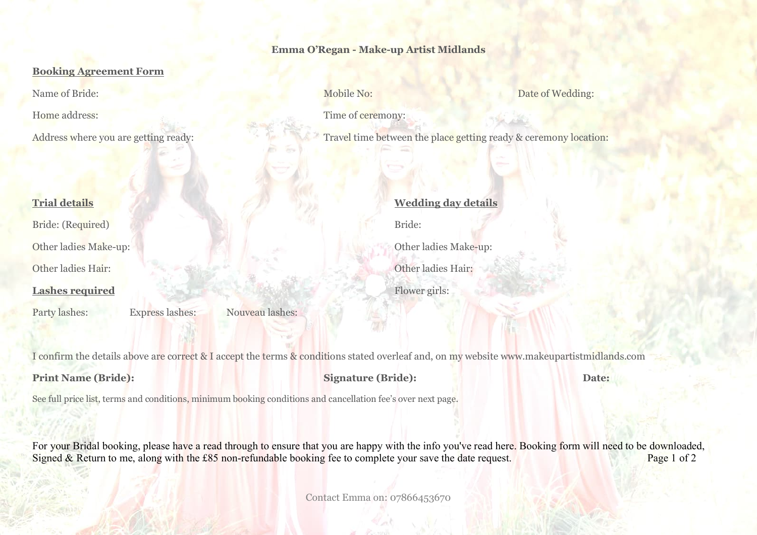### **Emma O'Regan - Make-up Artist Midlands**

## **Booking Agreement Form**

## **Trial details**

Bride: (Required)

Other ladies Make-up:

Other ladies Hair:

# **Lashes required**

Party lashes: Express lashes: Nouveau lashes:

Name of Bride: Date of Wedding: Mobile No: Nobile No: Date of Wedding:

Home address: Time of ceremony:

Address where you are getting ready: Travel time between the place getting ready & ceremony location:

**Wedding day details** Bride: Other ladies Make-up: Other ladies Hair:

Flower girls:

I confirm the details above are correct & I accept the terms & conditions stated overleaf and, on my website www.makeupartistmidlands.com

**Print Name (Bride): Signature (Bride): Date:**

See full price list, terms and conditions, minimum booking conditions and cancellation fee's over next page.

For your Bridal booking, please have a read through to ensure that you are happy with the info you've read here. Booking form will need to be downloaded, Signed & Return to me, along with the £85 non-refundable booking fee to complete your save the date request. Page 1 of 2

Contact Emma on: 07866453670